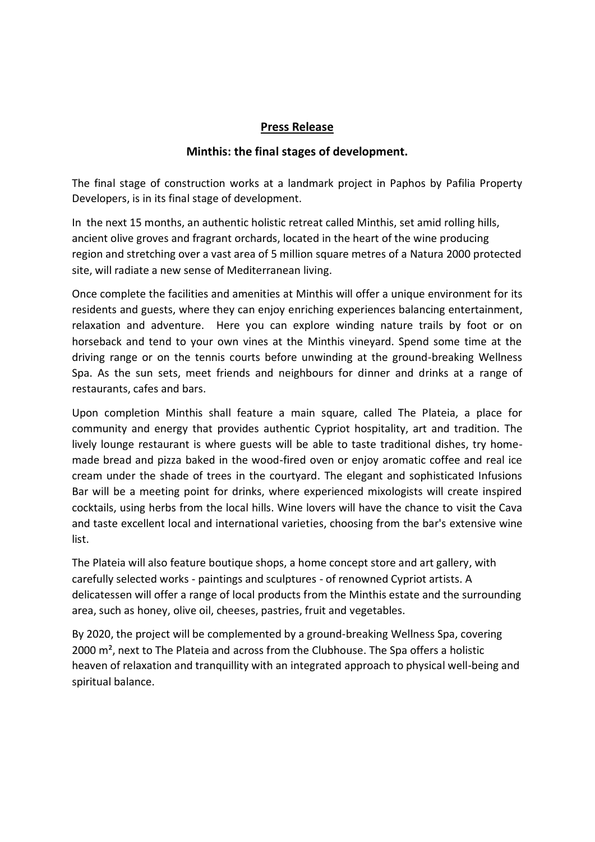## **Press Release**

## **Minthis: the final stages of development.**

The final stage of construction works at a landmark project in Paphos by Pafilia Property Developers, is in its final stage of development.

In the next 15 months, an authentic holistic retreat called Minthis, set amid rolling hills, ancient olive groves and fragrant orchards, located in the heart of the wine producing region and stretching over a vast area of 5 million square metres of a Natura 2000 protected site, will radiate a new sense of Mediterranean living.

Once complete the facilities and amenities at Minthis will offer a unique environment for its residents and guests, where they can enjoy enriching experiences balancing entertainment, relaxation and adventure. Here you can explore winding nature trails by foot or on horseback and tend to your own vines at the Minthis vineyard. Spend some time at the driving range or on the tennis courts before unwinding at the ground-breaking Wellness Spa. As the sun sets, meet friends and neighbours for dinner and drinks at a range of restaurants, cafes and bars.

Upon completion Minthis shall feature a main square, called The Plateia, a place for community and energy that provides authentic Cypriot hospitality, art and tradition. The lively lounge restaurant is where guests will be able to taste traditional dishes, try homemade bread and pizza baked in the wood-fired oven or enjoy aromatic coffee and real ice cream under the shade of trees in the courtyard. The elegant and sophisticated Infusions Bar will be a meeting point for drinks, where experienced mixologists will create inspired cocktails, using herbs from the local hills. Wine lovers will have the chance to visit the Cava and taste excellent local and international varieties, choosing from the bar's extensive wine list.

The Plateia will also feature boutique shops, a home concept store and art gallery, with carefully selected works - paintings and sculptures - of renowned Cypriot artists. A delicatessen will offer a range of local products from the Minthis estate and the surrounding area, such as honey, olive oil, cheeses, pastries, fruit and vegetables.

By 2020, the project will be complemented by a ground-breaking Wellness Spa, covering 2000 m², next to The Plateia and across from the Clubhouse. The Spa offers a holistic heaven of relaxation and tranquillity with an integrated approach to physical well-being and spiritual balance.